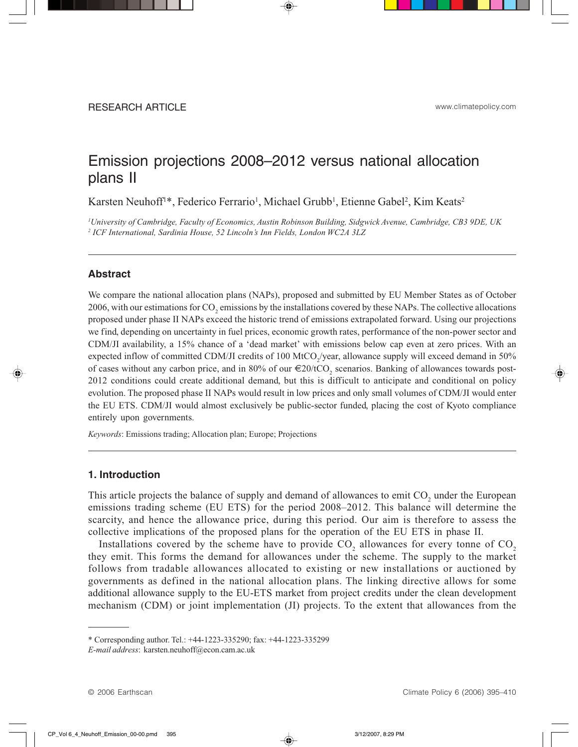# Emission projections 2008–2012 versus national allocation plans II

Karsten Neuhoff<sup>1\*</sup>, Federico Ferrario<sup>1</sup>, Michael Grubb<sup>1</sup>, Etienne Gabel<sup>2</sup>, Kim Keats<sup>2</sup>

*1 University of Cambridge, Faculty of Economics, Austin Robinson Building, Sidgwick Avenue, Cambridge, CB3 9DE, UK 2 ICF International, Sardinia House, 52 Lincoln's Inn Fields, London WC2A 3LZ*

# **Abstract**

We compare the national allocation plans (NAPs), proposed and submitted by EU Member States as of October 2006, with our estimations for  $\rm CO_2$  emissions by the installations covered by these NAPs. The collective allocations proposed under phase II NAPs exceed the historic trend of emissions extrapolated forward. Using our projections we find, depending on uncertainty in fuel prices, economic growth rates, performance of the non-power sector and CDM/JI availability, a 15% chance of a 'dead market' with emissions below cap even at zero prices. With an expected inflow of committed CDM/JI credits of 100 MtCO<sub>2</sub>/year, allowance supply will exceed demand in 50% of cases without any carbon price, and in 80% of our  $\in 20$ /tCO<sub>2</sub> scenarios. Banking of allowances towards post-2012 conditions could create additional demand, but this is difficult to anticipate and conditional on policy evolution. The proposed phase II NAPs would result in low prices and only small volumes of CDM/JI would enter the EU ETS. CDM/JI would almost exclusively be public-sector funded, placing the cost of Kyoto compliance entirely upon governments.

*Keywords*: Emissions trading; Allocation plan; Europe; Projections

## **1. Introduction**

This article projects the balance of supply and demand of allowances to emit  $CO_2$  under the European emissions trading scheme (EU ETS) for the period 2008–2012. This balance will determine the scarcity, and hence the allowance price, during this period. Our aim is therefore to assess the collective implications of the proposed plans for the operation of the EU ETS in phase II.

Installations covered by the scheme have to provide  $CO_2$  allowances for every tonne of  $CO_2$ they emit. This forms the demand for allowances under the scheme. The supply to the market follows from tradable allowances allocated to existing or new installations or auctioned by governments as defined in the national allocation plans. The linking directive allows for some additional allowance supply to the EU-ETS market from project credits under the clean development mechanism (CDM) or joint implementation (JI) projects. To the extent that allowances from the

<sup>\*</sup> Corresponding author. Tel.: +44-1223-335290; fax: +44-1223-335299

*E-mail address*: karsten.neuhoff@econ.cam.ac.uk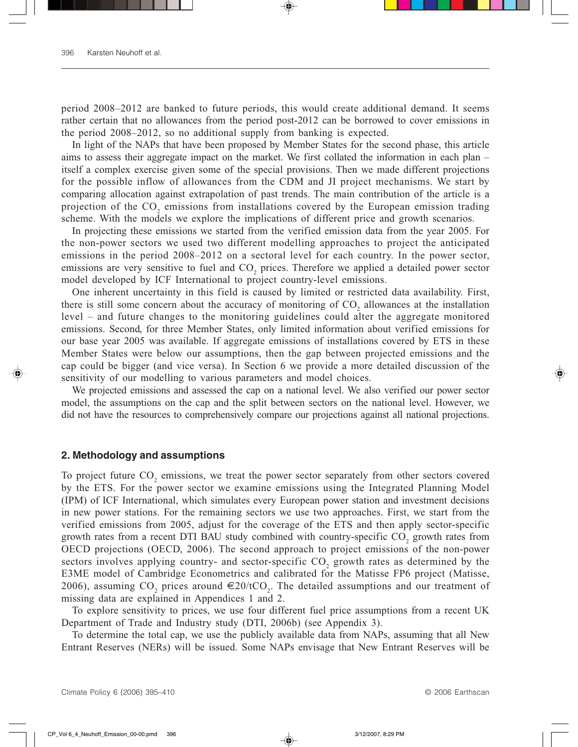period 2008–2012 are banked to future periods, this would create additional demand. It seems rather certain that no allowances from the period post-2012 can be borrowed to cover emissions in the period 2008–2012, so no additional supply from banking is expected.

In light of the NAPs that have been proposed by Member States for the second phase, this article aims to assess their aggregate impact on the market. We first collated the information in each plan – itself a complex exercise given some of the special provisions. Then we made different projections for the possible inflow of allowances from the CDM and JI project mechanisms. We start by comparing allocation against extrapolation of past trends. The main contribution of the article is a projection of the  $CO_2$  emissions from installations covered by the European emission trading scheme. With the models we explore the implications of different price and growth scenarios.

In projecting these emissions we started from the verified emission data from the year 2005. For the non-power sectors we used two different modelling approaches to project the anticipated emissions in the period 2008–2012 on a sectoral level for each country. In the power sector, emissions are very sensitive to fuel and CO<sub>2</sub> prices. Therefore we applied a detailed power sector model developed by ICF International to project country-level emissions.

One inherent uncertainty in this field is caused by limited or restricted data availability. First, there is still some concern about the accuracy of monitoring of  $CO_2$  allowances at the installation level – and future changes to the monitoring guidelines could alter the aggregate monitored emissions. Second, for three Member States, only limited information about verified emissions for our base year 2005 was available. If aggregate emissions of installations covered by ETS in these Member States were below our assumptions, then the gap between projected emissions and the cap could be bigger (and vice versa). In Section 6 we provide a more detailed discussion of the sensitivity of our modelling to various parameters and model choices.

We projected emissions and assessed the cap on a national level. We also verified our power sector model, the assumptions on the cap and the split between sectors on the national level. However, we did not have the resources to comprehensively compare our projections against all national projections.

#### **2. Methodology and assumptions**

To project future  $CO_2$  emissions, we treat the power sector separately from other sectors covered by the ETS. For the power sector we examine emissions using the Integrated Planning Model (IPM) of ICF International, which simulates every European power station and investment decisions in new power stations. For the remaining sectors we use two approaches. First, we start from the verified emissions from 2005, adjust for the coverage of the ETS and then apply sector-specific growth rates from a recent DTI BAU study combined with country-specific  $CO_2$  growth rates from OECD projections (OECD, 2006). The second approach to project emissions of the non-power sectors involves applying country- and sector-specific  $CO_2$  growth rates as determined by the E3ME model of Cambridge Econometrics and calibrated for the Matisse FP6 project (Matisse, 2006), assuming  $CO_2$  prices around  $\epsilon$ 20/tCO<sub>2</sub>. The detailed assumptions and our treatment of missing data are explained in Appendices 1 and 2.

To explore sensitivity to prices, we use four different fuel price assumptions from a recent UK Department of Trade and Industry study (DTI, 2006b) (see Appendix 3).

To determine the total cap, we use the publicly available data from NAPs, assuming that all New Entrant Reserves (NERs) will be issued. Some NAPs envisage that New Entrant Reserves will be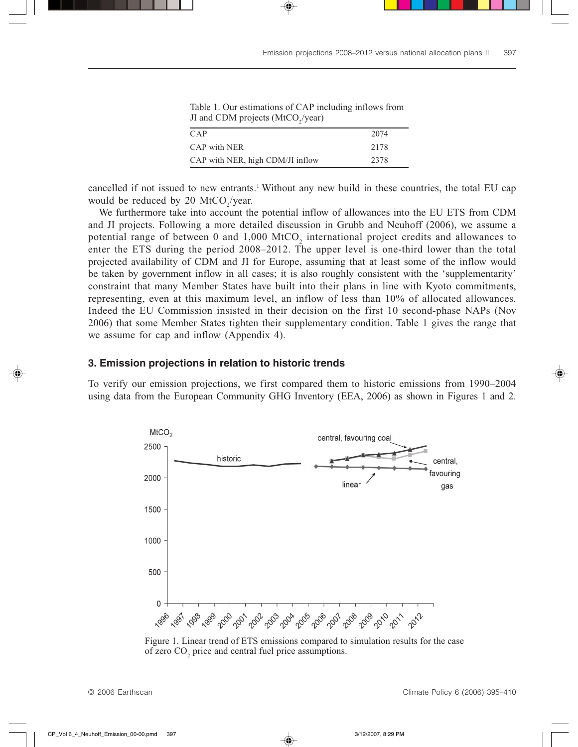| $\blacksquare$                   |      |
|----------------------------------|------|
| CAP                              | 2074 |
| CAP with NER                     | 2178 |
| CAP with NER, high CDM/JI inflow | 2378 |

Table 1. Our estimations of CAP including inflows from JI and CDM projects (MtCO<sub>2</sub>/year)

cancelled if not issued to new entrants.<sup>1</sup> Without any new build in these countries, the total EU cap would be reduced by 20  $\text{MtCO}_2/\text{year}.$ 

We furthermore take into account the potential inflow of allowances into the EU ETS from CDM and JI projects. Following a more detailed discussion in Grubb and Neuhoff (2006), we assume a potential range of between 0 and  $1,000$  MtCO<sub>2</sub> international project credits and allowances to enter the ETS during the period 2008–2012. The upper level is one-third lower than the total projected availability of CDM and JI for Europe, assuming that at least some of the inflow would be taken by government inflow in all cases; it is also roughly consistent with the 'supplementarity' constraint that many Member States have built into their plans in line with Kyoto commitments, representing, even at this maximum level, an inflow of less than 10% of allocated allowances. Indeed the EU Commission insisted in their decision on the first 10 second-phase NAPs (Nov 2006) that some Member States tighten their supplementary condition. Table 1 gives the range that we assume for cap and inflow (Appendix 4).

# **3. Emission projections in relation to historic trends**

To verify our emission projections, we first compared them to historic emissions from 1990–2004 using data from the European Community GHG Inventory (EEA, 2006) as shown in Figures 1 and 2.



Figure 1. Linear trend of ETS emissions compared to simulation results for the case of zero  $CO<sub>2</sub>$  price and central fuel price assumptions.

© 2006 Earthscan Climate Policy 6 (2006) 395–410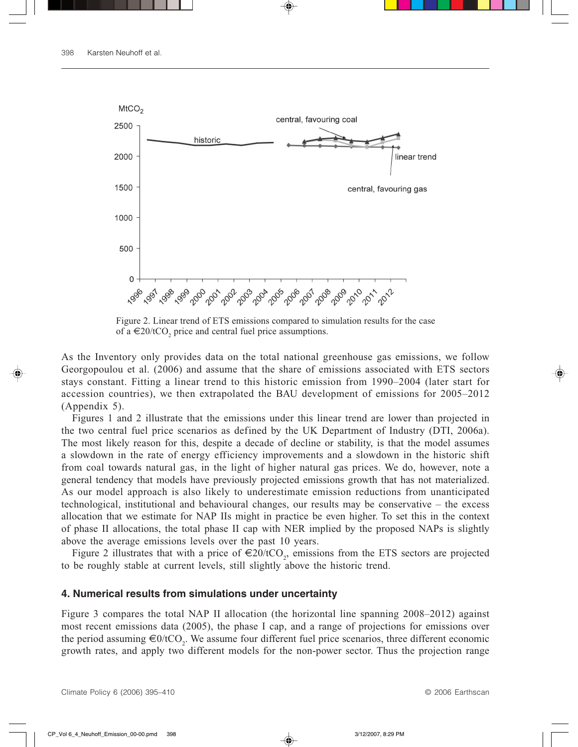

Figure 2. Linear trend of ETS emissions compared to simulation results for the case of a  $\in$ 20/tCO<sub>2</sub> price and central fuel price assumptions.

As the Inventory only provides data on the total national greenhouse gas emissions, we follow Georgopoulou et al. (2006) and assume that the share of emissions associated with ETS sectors stays constant. Fitting a linear trend to this historic emission from 1990–2004 (later start for accession countries), we then extrapolated the BAU development of emissions for 2005–2012 (Appendix 5).

Figures 1 and 2 illustrate that the emissions under this linear trend are lower than projected in the two central fuel price scenarios as defined by the UK Department of Industry (DTI, 2006a). The most likely reason for this, despite a decade of decline or stability, is that the model assumes a slowdown in the rate of energy efficiency improvements and a slowdown in the historic shift from coal towards natural gas, in the light of higher natural gas prices. We do, however, note a general tendency that models have previously projected emissions growth that has not materialized. As our model approach is also likely to underestimate emission reductions from unanticipated technological, institutional and behavioural changes, our results may be conservative – the excess allocation that we estimate for NAP IIs might in practice be even higher. To set this in the context of phase II allocations, the total phase II cap with NER implied by the proposed NAPs is slightly above the average emissions levels over the past 10 years.

Figure 2 illustrates that with a price of  $\epsilon$ 20/tCO<sub>2</sub>, emissions from the ETS sectors are projected to be roughly stable at current levels, still slightly above the historic trend.

### **4. Numerical results from simulations under uncertainty**

Figure 3 compares the total NAP II allocation (the horizontal line spanning 2008–2012) against most recent emissions data (2005), the phase I cap, and a range of projections for emissions over the period assuming  $\epsilon 0$ /tCO<sub>2</sub>. We assume four different fuel price scenarios, three different economic growth rates, and apply two different models for the non-power sector. Thus the projection range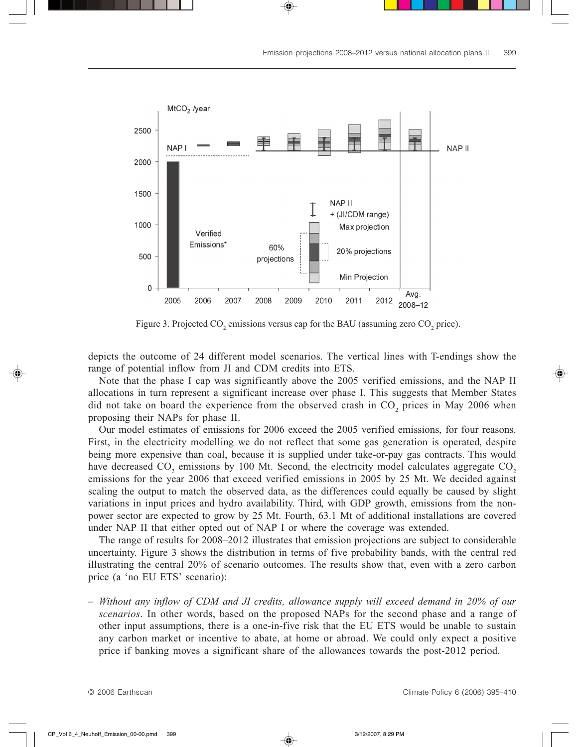

Figure 3. Projected  $CO_2$  emissions versus cap for the BAU (assuming zero  $CO_2$  price).

depicts the outcome of 24 different model scenarios. The vertical lines with T-endings show the range of potential inflow from JI and CDM credits into ETS.

Note that the phase I cap was significantly above the 2005 verified emissions, and the NAP II allocations in turn represent a significant increase over phase I. This suggests that Member States did not take on board the experience from the observed crash in  $CO_2$  prices in May 2006 when proposing their NAPs for phase II.

Our model estimates of emissions for 2006 exceed the 2005 verified emissions, for four reasons. First, in the electricity modelling we do not reflect that some gas generation is operated, despite being more expensive than coal, because it is supplied under take-or-pay gas contracts. This would have decreased  $CO_2$  emissions by 100 Mt. Second, the electricity model calculates aggregate  $CO_2$ emissions for the year 2006 that exceed verified emissions in 2005 by 25 Mt. We decided against scaling the output to match the observed data, as the differences could equally be caused by slight variations in input prices and hydro availability. Third, with GDP growth, emissions from the nonpower sector are expected to grow by 25 Mt. Fourth, 63.1 Mt of additional installations are covered under NAP II that either opted out of NAP I or where the coverage was extended.

The range of results for 2008–2012 illustrates that emission projections are subject to considerable uncertainty. Figure 3 shows the distribution in terms of five probability bands, with the central red illustrating the central 20% of scenario outcomes. The results show that, even with a zero carbon price (a 'no EU ETS' scenario):

– *Without any inflow of CDM and JI credits, allowance supply will exceed demand in 20% of our scenarios*. In other words, based on the proposed NAPs for the second phase and a range of other input assumptions, there is a one-in-five risk that the EU ETS would be unable to sustain any carbon market or incentive to abate, at home or abroad. We could only expect a positive price if banking moves a significant share of the allowances towards the post-2012 period.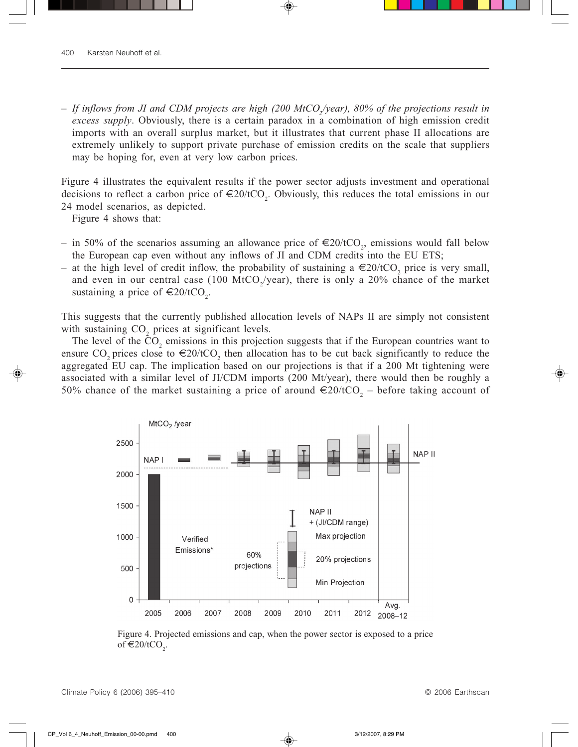– *If inflows from JI and CDM projects are high (200 MtCO2/year), 80% of the projections result in excess supply*. Obviously, there is a certain paradox in a combination of high emission credit imports with an overall surplus market, but it illustrates that current phase II allocations are extremely unlikely to support private purchase of emission credits on the scale that suppliers may be hoping for, even at very low carbon prices.

Figure 4 illustrates the equivalent results if the power sector adjusts investment and operational decisions to reflect a carbon price of  $\in 20$ /tCO<sub>2</sub>. Obviously, this reduces the total emissions in our 24 model scenarios, as depicted.

Figure 4 shows that:

- in 50% of the scenarios assuming an allowance price of €20/tCO<sub>2</sub>, emissions would fall below the European cap even without any inflows of JI and CDM credits into the EU ETS;
- − at the high level of credit inflow, the probability of sustaining a  $€20/tCO<sub>2</sub>$  price is very small, and even in our central case (100 MtCO<sub>2</sub>/year), there is only a 20% chance of the market sustaining a price of  $\in 20/\text{tCO}_2$ .

This suggests that the currently published allocation levels of NAPs II are simply not consistent with sustaining  $CO<sub>2</sub>$  prices at significant levels.

The level of the  $CO_2$  emissions in this projection suggests that if the European countries want to ensure CO<sub>2</sub> prices close to  $\epsilon$ 20/tCO<sub>2</sub> then allocation has to be cut back significantly to reduce the aggregated EU cap. The implication based on our projections is that if a 200 Mt tightening were associated with a similar level of JI/CDM imports (200 Mt/year), there would then be roughly a 50% chance of the market sustaining a price of around  $\epsilon$ 20/tCO<sub>2</sub> – before taking account of



Figure 4. Projected emissions and cap, when the power sector is exposed to a price of  $€20/tCO<sub>2</sub>$ .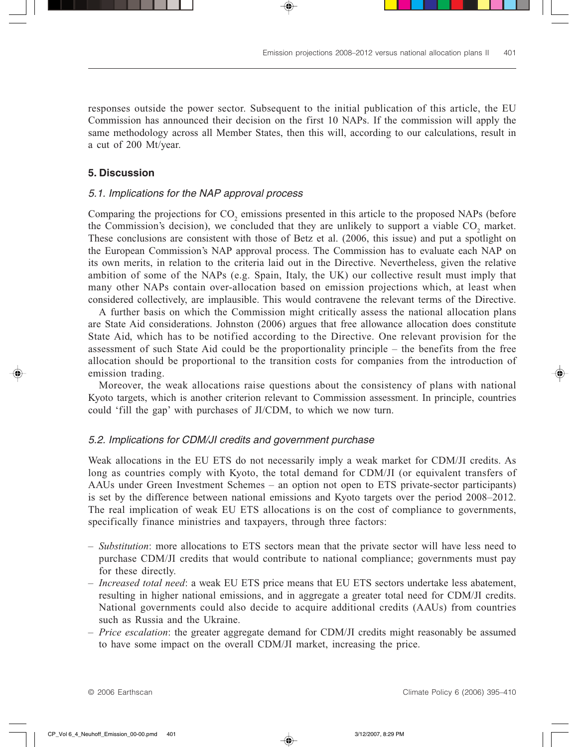responses outside the power sector. Subsequent to the initial publication of this article, the EU Commission has announced their decision on the first 10 NAPs. If the commission will apply the same methodology across all Member States, then this will, according to our calculations, result in a cut of 200 Mt/year.

# **5. Discussion**

# 5.1. Implications for the NAP approval process

Comparing the projections for  $CO_2$  emissions presented in this article to the proposed NAPs (before the Commission's decision), we concluded that they are unlikely to support a viable  $CO_2$  market. These conclusions are consistent with those of Betz et al. (2006, this issue) and put a spotlight on the European Commission's NAP approval process. The Commission has to evaluate each NAP on its own merits, in relation to the criteria laid out in the Directive. Nevertheless, given the relative ambition of some of the NAPs (e.g. Spain, Italy, the UK) our collective result must imply that many other NAPs contain over-allocation based on emission projections which, at least when considered collectively, are implausible. This would contravene the relevant terms of the Directive.

A further basis on which the Commission might critically assess the national allocation plans are State Aid considerations. Johnston (2006) argues that free allowance allocation does constitute State Aid, which has to be notified according to the Directive. One relevant provision for the assessment of such State Aid could be the proportionality principle – the benefits from the free allocation should be proportional to the transition costs for companies from the introduction of emission trading.

Moreover, the weak allocations raise questions about the consistency of plans with national Kyoto targets, which is another criterion relevant to Commission assessment. In principle, countries could 'fill the gap' with purchases of JI/CDM, to which we now turn.

## 5.2. Implications for CDM/JI credits and government purchase

Weak allocations in the EU ETS do not necessarily imply a weak market for CDM/JI credits. As long as countries comply with Kyoto, the total demand for CDM/JI (or equivalent transfers of AAUs under Green Investment Schemes – an option not open to ETS private-sector participants) is set by the difference between national emissions and Kyoto targets over the period 2008–2012. The real implication of weak EU ETS allocations is on the cost of compliance to governments, specifically finance ministries and taxpayers, through three factors:

- *Substitution*: more allocations to ETS sectors mean that the private sector will have less need to purchase CDM/JI credits that would contribute to national compliance; governments must pay for these directly.
- *Increased total need*: a weak EU ETS price means that EU ETS sectors undertake less abatement, resulting in higher national emissions, and in aggregate a greater total need for CDM/JI credits. National governments could also decide to acquire additional credits (AAUs) from countries such as Russia and the Ukraine.
- *Price escalation*: the greater aggregate demand for CDM/JI credits might reasonably be assumed to have some impact on the overall CDM/JI market, increasing the price.

© 2006 Earthscan Climate Policy 6 (2006) 395–410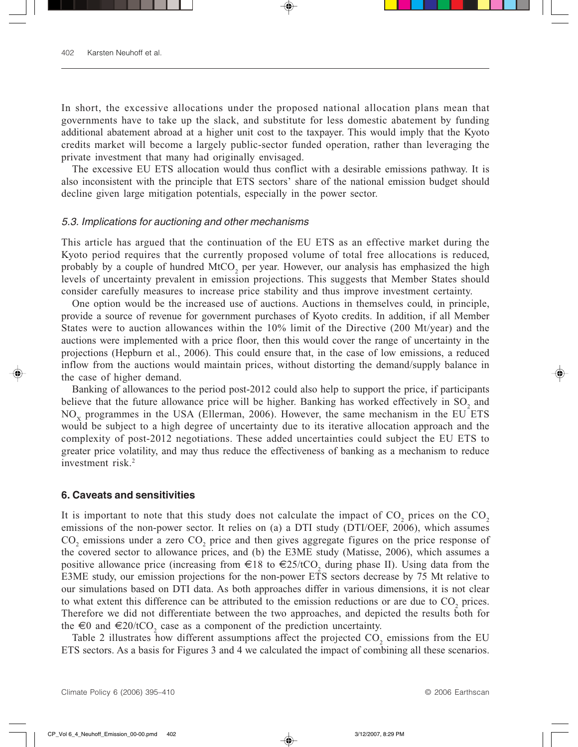In short, the excessive allocations under the proposed national allocation plans mean that governments have to take up the slack, and substitute for less domestic abatement by funding additional abatement abroad at a higher unit cost to the taxpayer. This would imply that the Kyoto credits market will become a largely public-sector funded operation, rather than leveraging the private investment that many had originally envisaged.

The excessive EU ETS allocation would thus conflict with a desirable emissions pathway. It is also inconsistent with the principle that ETS sectors' share of the national emission budget should decline given large mitigation potentials, especially in the power sector.

### 5.3. Implications for auctioning and other mechanisms

This article has argued that the continuation of the EU ETS as an effective market during the Kyoto period requires that the currently proposed volume of total free allocations is reduced, probably by a couple of hundred  $MCO_2$  per year. However, our analysis has emphasized the high levels of uncertainty prevalent in emission projections. This suggests that Member States should consider carefully measures to increase price stability and thus improve investment certainty.

One option would be the increased use of auctions. Auctions in themselves could, in principle, provide a source of revenue for government purchases of Kyoto credits. In addition, if all Member States were to auction allowances within the 10% limit of the Directive (200 Mt/year) and the auctions were implemented with a price floor, then this would cover the range of uncertainty in the projections (Hepburn et al., 2006). This could ensure that, in the case of low emissions, a reduced inflow from the auctions would maintain prices, without distorting the demand/supply balance in the case of higher demand.

Banking of allowances to the period post-2012 could also help to support the price, if participants believe that the future allowance price will be higher. Banking has worked effectively in  $SO_2$  and  $NO<sub>x</sub>$  programmes in the USA (Ellerman, 2006). However, the same mechanism in the EU ETS would be subject to a high degree of uncertainty due to its iterative allocation approach and the complexity of post-2012 negotiations. These added uncertainties could subject the EU ETS to greater price volatility, and may thus reduce the effectiveness of banking as a mechanism to reduce investment risk.<sup>2</sup>

#### **6. Caveats and sensitivities**

It is important to note that this study does not calculate the impact of  $CO_2$  prices on the  $CO_2$ emissions of the non-power sector. It relies on (a) a DTI study (DTI/OEF, 2006), which assumes  $CO<sub>2</sub>$  emissions under a zero  $CO<sub>2</sub>$  price and then gives aggregate figures on the price response of the covered sector to allowance prices, and (b) the E3ME study (Matisse, 2006), which assumes a positive allowance price (increasing from  $\epsilon 18$  to  $\epsilon 25/tCO_2$  during phase II). Using data from the E3ME study, our emission projections for the non-power ETS sectors decrease by 75 Mt relative to our simulations based on DTI data. As both approaches differ in various dimensions, it is not clear to what extent this difference can be attributed to the emission reductions or are due to  $CO_2$  prices. Therefore we did not differentiate between the two approaches, and depicted the results both for the  $\epsilon$ 0 and  $\epsilon$ 20/tCO<sub>2</sub> case as a component of the prediction uncertainty.

Table 2 illustrates how different assumptions affect the projected  $CO_2$  emissions from the EU ETS sectors. As a basis for Figures 3 and 4 we calculated the impact of combining all these scenarios.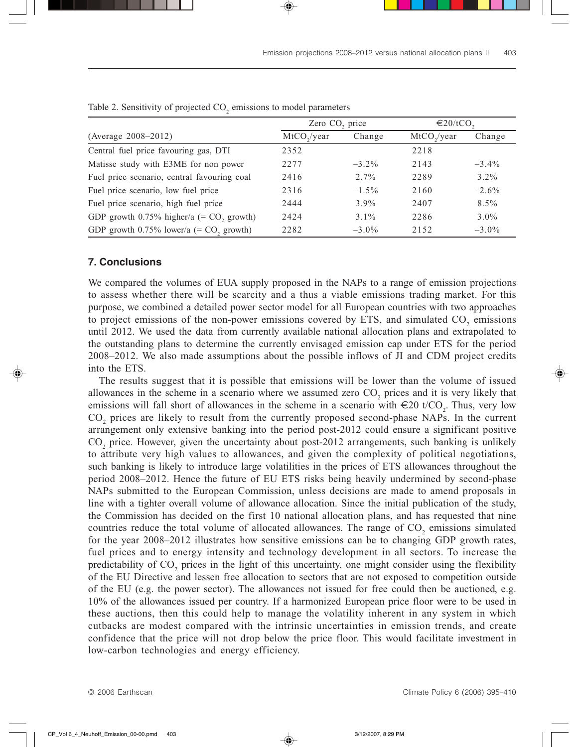|                                                        | Zero CO <sub>2</sub> price |          | $\in$ 20/tCO. |          |
|--------------------------------------------------------|----------------------------|----------|---------------|----------|
| (Average $2008 - 2012$ )                               | $MtCO$ ,/year              | Change   | $MtCO$ ,/year | Change   |
| Central fuel price favouring gas, DTI                  | 2352                       |          | 2218          |          |
| Matisse study with E3ME for non power                  | 2277                       | $-3.2\%$ | 2143          | $-3.4\%$ |
| Fuel price scenario, central favouring coal            | 2416                       | $2.7\%$  | 2289          | $3.2\%$  |
| Fuel price scenario, low fuel price                    | 2316                       | $-1.5\%$ | 2160          | $-2.6\%$ |
| Fuel price scenario, high fuel price                   | 2444                       | $3.9\%$  | 2407          | $8.5\%$  |
| GDP growth $0.75\%$ higher/a (= CO, growth)            | 2424                       | $3.1\%$  | 2286          | $3.0\%$  |
| GDP growth $0.75\%$ lower/a (= CO <sub>2</sub> growth) | 2282                       | $-3.0\%$ | 2152          | $-3.0\%$ |

Table 2. Sensitivity of projected  $CO_2$  emissions to model parameters

# **7. Conclusions**

We compared the volumes of EUA supply proposed in the NAPs to a range of emission projections to assess whether there will be scarcity and a thus a viable emissions trading market. For this purpose, we combined a detailed power sector model for all European countries with two approaches to project emissions of the non-power emissions covered by ETS, and simulated  $CO_2$  emissions until 2012. We used the data from currently available national allocation plans and extrapolated to the outstanding plans to determine the currently envisaged emission cap under ETS for the period 2008–2012. We also made assumptions about the possible inflows of JI and CDM project credits into the ETS.

The results suggest that it is possible that emissions will be lower than the volume of issued allowances in the scheme in a scenario where we assumed zero  $CO_2$  prices and it is very likely that emissions will fall short of allowances in the scheme in a scenario with  $\in 20$  t/CO<sub>2</sub>. Thus, very low  $CO<sub>2</sub>$  prices are likely to result from the currently proposed second-phase NAPs. In the current arrangement only extensive banking into the period post-2012 could ensure a significant positive  $CO<sub>2</sub>$  price. However, given the uncertainty about post-2012 arrangements, such banking is unlikely to attribute very high values to allowances, and given the complexity of political negotiations, such banking is likely to introduce large volatilities in the prices of ETS allowances throughout the period 2008–2012. Hence the future of EU ETS risks being heavily undermined by second-phase NAPs submitted to the European Commission, unless decisions are made to amend proposals in line with a tighter overall volume of allowance allocation. Since the initial publication of the study, the Commission has decided on the first 10 national allocation plans, and has requested that nine countries reduce the total volume of allocated allowances. The range of  $CO_2$  emissions simulated for the year 2008–2012 illustrates how sensitive emissions can be to changing GDP growth rates, fuel prices and to energy intensity and technology development in all sectors. To increase the predictability of  $CO_2$  prices in the light of this uncertainty, one might consider using the flexibility of the EU Directive and lessen free allocation to sectors that are not exposed to competition outside of the EU (e.g. the power sector). The allowances not issued for free could then be auctioned, e.g. 10% of the allowances issued per country. If a harmonized European price floor were to be used in these auctions, then this could help to manage the volatility inherent in any system in which cutbacks are modest compared with the intrinsic uncertainties in emission trends, and create confidence that the price will not drop below the price floor. This would facilitate investment in low-carbon technologies and energy efficiency.

© 2006 Earthscan Climate Policy 6 (2006) 395–410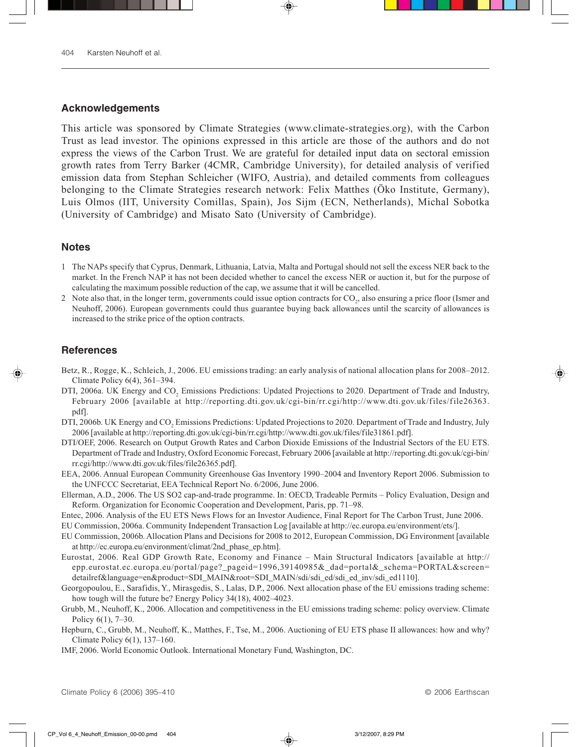# **Acknowledgements**

This article was sponsored by Climate Strategies (www.climate-strategies.org), with the Carbon Trust as lead investor. The opinions expressed in this article are those of the authors and do not express the views of the Carbon Trust. We are grateful for detailed input data on sectoral emission growth rates from Terry Barker (4CMR, Cambridge University), for detailed analysis of verified emission data from Stephan Schleicher (WIFO, Austria), and detailed comments from colleagues belonging to the Climate Strategies research network: Felix Matthes (Öko Institute, Germany), Luis Olmos (IIT, University Comillas, Spain), Jos Sijm (ECN, Netherlands), Michal Sobotka (University of Cambridge) and Misato Sato (University of Cambridge).

#### **Notes**

- 1 The NAPs specify that Cyprus, Denmark, Lithuania, Latvia, Malta and Portugal should not sell the excess NER back to the market. In the French NAP it has not been decided whether to cancel the excess NER or auction it, but for the purpose of calculating the maximum possible reduction of the cap, we assume that it will be cancelled.
- 2 Note also that, in the longer term, governments could issue option contracts for  $CO_2$ , also ensuring a price floor (Ismer and Neuhoff, 2006). European governments could thus guarantee buying back allowances until the scarcity of allowances is increased to the strike price of the option contracts.

#### **References**

- Betz, R., Rogge, K., Schleich, J., 2006. EU emissions trading: an early analysis of national allocation plans for 2008–2012. Climate Policy 6(4), 361–394.
- DTI, 2006a. UK Energy and CO<sub>2</sub> Emissions Predictions: Updated Projections to 2020. Department of Trade and Industry, February 2006 [available at http://reporting.dti.gov.uk/cgi-bin/rr.cgi/http://www.dti.gov.uk/files/file26363. pdf].
- DTI, 2006b. UK Energy and  $\rm{CO}_{2}$  Emissions Predictions: Updated Projections to 2020. Department of Trade and Industry, July 2006 [available at http://reporting.dti.gov.uk/cgi-bin/rr.cgi/http://www.dti.gov.uk/files/file31861.pdf].
- DTI/OEF, 2006. Research on Output Growth Rates and Carbon Dioxide Emissions of the Industrial Sectors of the EU ETS. Department of Trade and Industry, Oxford Economic Forecast, February 2006 [available at http://reporting.dti.gov.uk/cgi-bin/ rr.cgi/http://www.dti.gov.uk/files/file26365.pdf].
- EEA, 2006. Annual European Community Greenhouse Gas Inventory 1990–2004 and Inventory Report 2006. Submission to the UNFCCC Secretariat, EEA Technical Report No. 6/2006, June 2006.
- Ellerman, A.D., 2006. The US SO2 cap-and-trade programme. In: OECD, Tradeable Permits Policy Evaluation, Design and Reform. Organization for Economic Cooperation and Development, Paris, pp. 71–98.
- Entec, 2006. Analysis of the EU ETS News Flows for an Investor Audience, Final Report for The Carbon Trust, June 2006.

EU Commission, 2006a. Community Independent Transaction Log [available at http://ec.europa.eu/environment/ets/].

- EU Commission, 2006b. Allocation Plans and Decisions for 2008 to 2012, European Commission, DG Environment [available at http://ec.europa.eu/environment/climat/2nd\_phase\_ep.htm].
- Eurostat, 2006. Real GDP Growth Rate, Economy and Finance Main Structural Indicators [available at http:// epp.eurostat.ec.europa.eu/portal/page?\_pageid=1996,39140985&\_dad=portal&\_schema=PORTAL&screen= detailref&language=en&product=SDI\_MAIN&root=SDI\_MAIN/sdi/sdi\_ed/sdi\_ed\_inv/sdi\_ed1110].
- Georgopoulou, E., Sarafidis, Y., Mirasgedis, S., Lalas, D.P., 2006. Next allocation phase of the EU emissions trading scheme: how tough will the future be? Energy Policy 34(18), 4002–4023.
- Grubb, M., Neuhoff, K., 2006. Allocation and competitiveness in the EU emissions trading scheme: policy overview. Climate Policy 6(1), 7–30.
- Hepburn, C., Grubb, M., Neuhoff, K., Matthes, F., Tse, M., 2006. Auctioning of EU ETS phase II allowances: how and why? Climate Policy 6(1), 137–160.
- IMF, 2006. World Economic Outlook. International Monetary Fund, Washington, DC.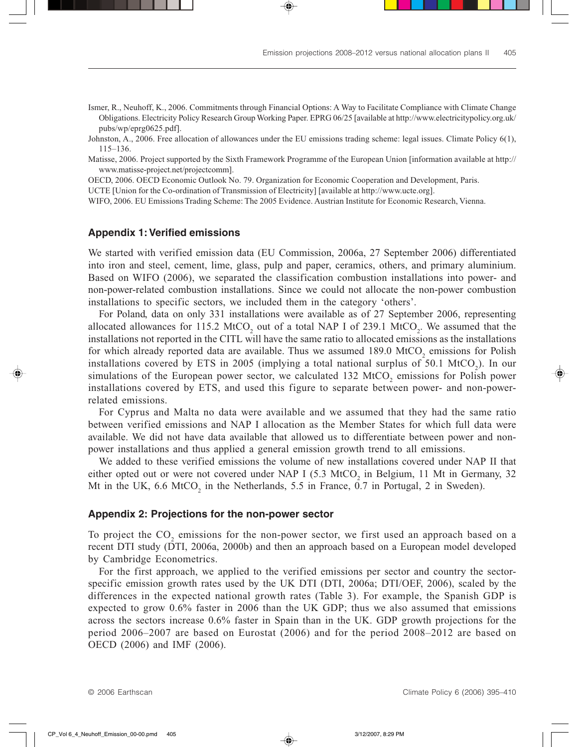- Ismer, R., Neuhoff, K., 2006. Commitments through Financial Options: A Way to Facilitate Compliance with Climate Change Obligations. Electricity Policy Research Group Working Paper. EPRG 06/25 [available at http://www.electricitypolicy.org.uk/ pubs/wp/eprg0625.pdf].
- Johnston, A., 2006. Free allocation of allowances under the EU emissions trading scheme: legal issues. Climate Policy 6(1), 115–136.
- Matisse, 2006. Project supported by the Sixth Framework Programme of the European Union [information available at http:// www.matisse-project.net/projectcomm].

OECD, 2006. OECD Economic Outlook No. 79. Organization for Economic Cooperation and Development, Paris.

UCTE [Union for the Co-ordination of Transmission of Electricity] [available at http://www.ucte.org].

WIFO, 2006. EU Emissions Trading Scheme: The 2005 Evidence. Austrian Institute for Economic Research, Vienna.

# **Appendix 1: Verified emissions**

We started with verified emission data (EU Commission, 2006a, 27 September 2006) differentiated into iron and steel, cement, lime, glass, pulp and paper, ceramics, others, and primary aluminium. Based on WIFO (2006), we separated the classification combustion installations into power- and non-power-related combustion installations. Since we could not allocate the non-power combustion installations to specific sectors, we included them in the category 'others'.

For Poland, data on only 331 installations were available as of 27 September 2006, representing allocated allowances for 115.2 MtCO<sub>2</sub> out of a total NAP I of 239.1 MtCO<sub>2</sub>. We assumed that the installations not reported in the CITL will have the same ratio to allocated emissions as the installations for which already reported data are available. Thus we assumed  $189.0 \text{ MtCO}_2$  emissions for Polish installations covered by ETS in 2005 (implying a total national surplus of 50.1  $\text{MtCO}_2$ ). In our simulations of the European power sector, we calculated  $132 \text{ MtCO}_2$  emissions for Polish power installations covered by ETS, and used this figure to separate between power- and non-powerrelated emissions.

For Cyprus and Malta no data were available and we assumed that they had the same ratio between verified emissions and NAP I allocation as the Member States for which full data were available. We did not have data available that allowed us to differentiate between power and nonpower installations and thus applied a general emission growth trend to all emissions.

We added to these verified emissions the volume of new installations covered under NAP II that either opted out or were not covered under NAP I  $(5.3 \text{ MtCO}_2)$  in Belgium, 11 Mt in Germany, 32 Mt in the UK,  $6.6 \text{ MtCO}_2$  in the Netherlands,  $5.5$  in France,  $0.7$  in Portugal, 2 in Sweden).

# **Appendix 2: Projections for the non-power sector**

To project the  $CO_2$  emissions for the non-power sector, we first used an approach based on a recent DTI study (DTI, 2006a, 2000b) and then an approach based on a European model developed by Cambridge Econometrics.

For the first approach, we applied to the verified emissions per sector and country the sectorspecific emission growth rates used by the UK DTI (DTI, 2006a; DTI/OEF, 2006), scaled by the differences in the expected national growth rates (Table 3). For example, the Spanish GDP is expected to grow 0.6% faster in 2006 than the UK GDP; thus we also assumed that emissions across the sectors increase 0.6% faster in Spain than in the UK. GDP growth projections for the period 2006–2007 are based on Eurostat (2006) and for the period 2008–2012 are based on OECD (2006) and IMF (2006).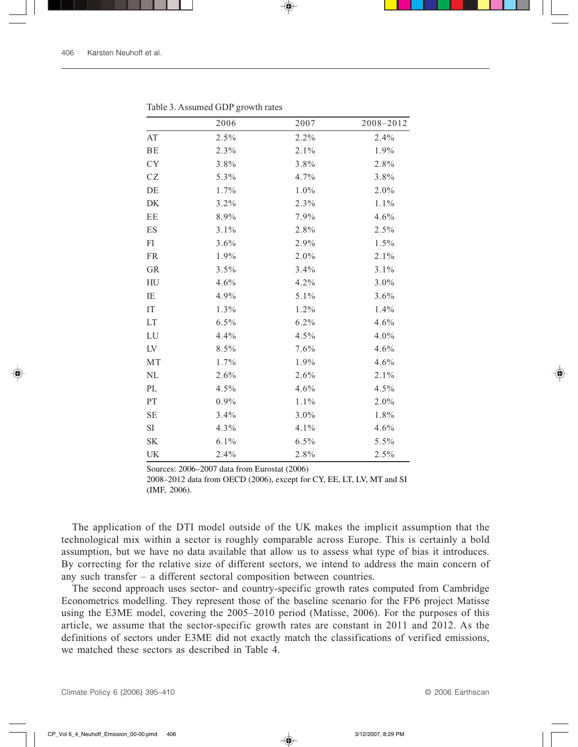|                                     | 2006    | 2007    | 2008-2012 |
|-------------------------------------|---------|---------|-----------|
| $\boldsymbol{\mathsf{A}\mathsf{T}}$ | 2.5%    | 2.2%    | 2.4%      |
| BE                                  | 2.3%    | $2.1\%$ | 1.9%      |
| <b>CY</b>                           | 3.8%    | 3.8%    | 2.8%      |
| CZ                                  | 5.3%    | 4.7%    | 3.8%      |
| DE                                  | 1.7%    | 1.0%    | 2.0%      |
| DK                                  | $3.2\%$ | 2.3%    | $1.1\%$   |
| EE                                  | 8.9%    | 7.9%    | 4.6%      |
| ES                                  | 3.1%    | 2.8%    | 2.5%      |
| FI                                  | $3.6\%$ | 2.9%    | $1.5\%$   |
| FR                                  | 1.9%    | 2.0%    | $2.1\%$   |
| GR                                  | 3.5%    | 3.4%    | $3.1\%$   |
| HU                                  | 4.6%    | 4.2%    | $3.0\%$   |
| IE                                  | 4.9%    | 5.1%    | 3.6%      |
| IT                                  | 1.3%    | 1.2%    | 1.4%      |
| LT                                  | $6.5\%$ | 6.2%    | 4.6%      |
| LU                                  | 4.4%    | 4.5%    | $4.0\%$   |
| LV                                  | 8.5%    | 7.6%    | 4.6%      |
| MT                                  | 1.7%    | 1.9%    | 4.6%      |
| $\rm NL$                            | 2.6%    | 2.6%    | $2.1\%$   |
| PL                                  | $4.5\%$ | 4.6%    | $4.5\%$   |
| PT                                  | $0.9\%$ | 1.1%    | 2.0%      |
| <b>SE</b>                           | 3.4%    | 3.0%    | 1.8%      |
| SI                                  | $4.3\%$ | 4.1%    | 4.6%      |
| $\ensuremath{\mathbf{SK}}\xspace$   | 6.1%    | 6.5%    | 5.5%      |
| UK                                  | 2.4%    | 2.8%    | 2.5%      |

Table 3. Assumed GDP growth rates

Sources: 2006–2007 data from Eurostat (2006)

2008–2012 data from OECD (2006), except for CY, EE, LT, LV, MT and SI (IMF, 2006).

The application of the DTI model outside of the UK makes the implicit assumption that the technological mix within a sector is roughly comparable across Europe. This is certainly a bold assumption, but we have no data available that allow us to assess what type of bias it introduces. By correcting for the relative size of different sectors, we intend to address the main concern of any such transfer – a different sectoral composition between countries.

The second approach uses sector- and country-specific growth rates computed from Cambridge Econometrics modelling. They represent those of the baseline scenario for the FP6 project Matisse using the E3ME model, covering the 2005–2010 period (Matisse, 2006). For the purposes of this article, we assume that the sector-specific growth rates are constant in 2011 and 2012. As the definitions of sectors under E3ME did not exactly match the classifications of verified emissions, we matched these sectors as described in Table 4.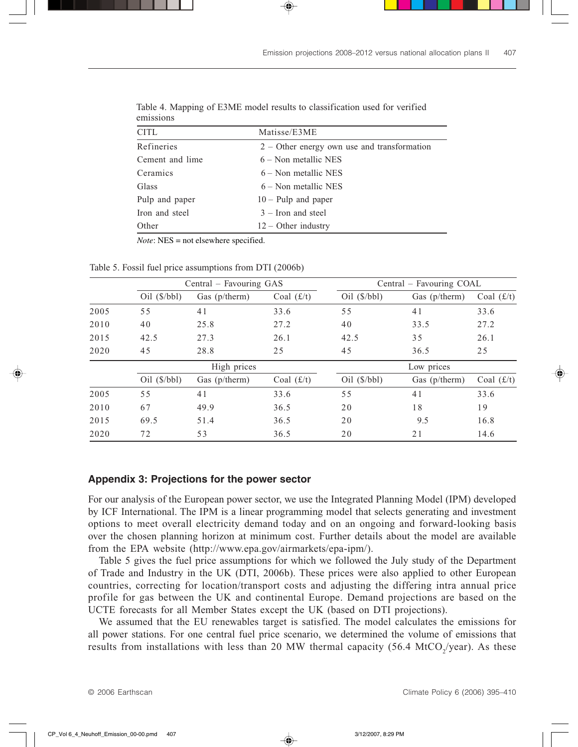| <b></b>         |                                               |
|-----------------|-----------------------------------------------|
| <b>CITL</b>     | Matisse/E3ME                                  |
| Refineries      | $2 -$ Other energy own use and transformation |
| Cement and lime | $6 -$ Non metallic NES                        |
| Ceramics        | $6 -$ Non metallic NES                        |
| Glass           | $6 -$ Non metallic NES                        |
| Pulp and paper  | $10 -$ Pulp and paper                         |
| Iron and steel  | $3 -$ Iron and steel                          |
| Other           | $12 -$ Other industry                         |
|                 |                                               |

Table 4. Mapping of E3ME model results to classification used for verified emissions

*Note*: NES = not elsewhere specified.

Table 5. Fossil fuel price assumptions from DTI (2006b)

|      | Central – Favouring GAS   |               |              | Central – Favouring COAL  |                 |              |  |  |
|------|---------------------------|---------------|--------------|---------------------------|-----------------|--------------|--|--|
|      | $Oil$ ( $\frac{$}{bbl}$ ) | Gas (p/therm) | Coal $(f/t)$ | $Oil$ ( $\frac{$}{bbl}$ ) | Gas $(p/therm)$ | Coal $(f/t)$ |  |  |
| 2005 | 55                        | 41            | 33.6         | 55                        | 41              | 33.6         |  |  |
| 2010 | 40                        | 25.8          | 27.2         | 40                        | 33.5            | 27.2         |  |  |
| 2015 | 42.5                      | 27.3          | 26.1         | 42.5                      | 35              | 26.1         |  |  |
| 2020 | 45                        | 28.8          | 25           | 45                        | 36.5            | 25           |  |  |
|      |                           | High prices   |              |                           | Low prices      |              |  |  |
|      | $Oil$ ( $\frac{$}{bbl}$ ) | Gas (p/therm) | Coal $(f/t)$ | $Oil$ ( $\frac{$}{bbl}$ ) | Gas $(p/therm)$ | Coal $(f/t)$ |  |  |
| 2005 | 55                        | 41            | 33.6         | 55                        | 41              | 33.6         |  |  |
| 2010 | 67                        | 49.9          | 36.5         | 20                        | 18              | 19           |  |  |
| 2015 | 69.5                      | 51.4          | 36.5         | 20                        | 9.5             | 16.8         |  |  |
| 2020 | 72                        | 53            | 36.5         | 20                        | 21              | 14.6         |  |  |

### **Appendix 3: Projections for the power sector**

For our analysis of the European power sector, we use the Integrated Planning Model (IPM) developed by ICF International. The IPM is a linear programming model that selects generating and investment options to meet overall electricity demand today and on an ongoing and forward-looking basis over the chosen planning horizon at minimum cost. Further details about the model are available from the EPA website (http://www.epa.gov/airmarkets/epa-ipm/).

Table 5 gives the fuel price assumptions for which we followed the July study of the Department of Trade and Industry in the UK (DTI, 2006b). These prices were also applied to other European countries, correcting for location/transport costs and adjusting the differing intra annual price profile for gas between the UK and continental Europe. Demand projections are based on the UCTE forecasts for all Member States except the UK (based on DTI projections).

We assumed that the EU renewables target is satisfied. The model calculates the emissions for all power stations. For one central fuel price scenario, we determined the volume of emissions that results from installations with less than 20 MW thermal capacity (56.4 MtCO<sub>2</sub>/year). As these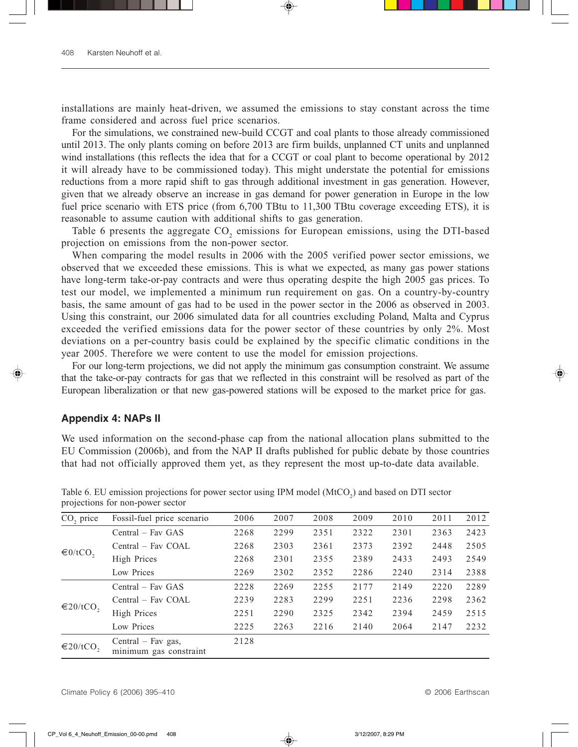installations are mainly heat-driven, we assumed the emissions to stay constant across the time frame considered and across fuel price scenarios.

For the simulations, we constrained new-build CCGT and coal plants to those already commissioned until 2013. The only plants coming on before 2013 are firm builds, unplanned CT units and unplanned wind installations (this reflects the idea that for a CCGT or coal plant to become operational by 2012 it will already have to be commissioned today). This might understate the potential for emissions reductions from a more rapid shift to gas through additional investment in gas generation. However, given that we already observe an increase in gas demand for power generation in Europe in the low fuel price scenario with ETS price (from 6,700 TBtu to 11,300 TBtu coverage exceeding ETS), it is reasonable to assume caution with additional shifts to gas generation.

Table 6 presents the aggregate  $CO_2$  emissions for European emissions, using the DTI-based projection on emissions from the non-power sector.

When comparing the model results in 2006 with the 2005 verified power sector emissions, we observed that we exceeded these emissions. This is what we expected, as many gas power stations have long-term take-or-pay contracts and were thus operating despite the high 2005 gas prices. To test our model, we implemented a minimum run requirement on gas. On a country-by-country basis, the same amount of gas had to be used in the power sector in the 2006 as observed in 2003. Using this constraint, our 2006 simulated data for all countries excluding Poland, Malta and Cyprus exceeded the verified emissions data for the power sector of these countries by only 2%. Most deviations on a per-country basis could be explained by the specific climatic conditions in the year 2005. Therefore we were content to use the model for emission projections.

For our long-term projections, we did not apply the minimum gas consumption constraint. We assume that the take-or-pay contracts for gas that we reflected in this constraint will be resolved as part of the European liberalization or that new gas-powered stations will be exposed to the market price for gas.

## **Appendix 4: NAPs II**

We used information on the second-phase cap from the national allocation plans submitted to the EU Commission (2006b), and from the NAP II drafts published for public debate by those countries that had not officially approved them yet, as they represent the most up-to-date data available.

| CO <sub>2</sub> price     | Fossil-fuel price scenario                     | 2006 | 2007 | 2008 | 2009 | 2010 | 2011 | 2012 |
|---------------------------|------------------------------------------------|------|------|------|------|------|------|------|
| €0/tCO,                   | $Central - Fav GAS$                            | 2268 | 2299 | 2351 | 2322 | 2301 | 2363 | 2423 |
|                           | Central – Fav COAL                             | 2268 | 2303 | 2361 | 2373 | 2392 | 2448 | 2505 |
|                           | High Prices                                    | 2268 | 2301 | 2355 | 2389 | 2433 | 2493 | 2549 |
|                           | Low Prices                                     | 2269 | 2302 | 2352 | 2286 | 2240 | 2314 | 2388 |
| $\in$ 20/tCO <sub>2</sub> | Central – Fav GAS                              | 2228 | 2269 | 2255 | 2177 | 2149 | 2220 | 2289 |
|                           | Central – Fav COAL                             | 2239 | 2283 | 2299 | 2251 | 2236 | 2298 | 2362 |
|                           | High Prices                                    | 2251 | 2290 | 2325 | 2342 | 2394 | 2459 | 2515 |
|                           | Low Prices                                     | 2225 | 2263 | 2216 | 2140 | 2064 | 2147 | 2232 |
| $\in$ 20/tCO <sub>2</sub> | Central $-$ Fav gas,<br>minimum gas constraint | 2128 |      |      |      |      |      |      |

Table 6. EU emission projections for power sector using IPM model  $(MtCO<sub>2</sub>)$  and based on DTI sector projections for non-power sector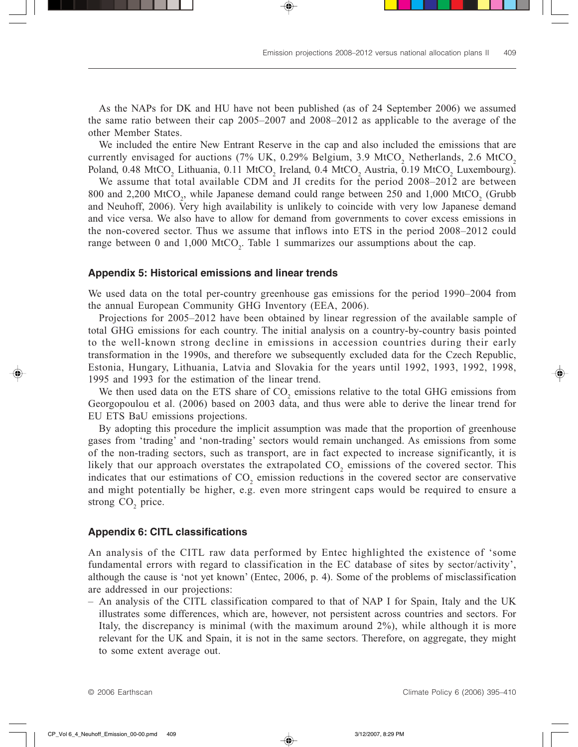As the NAPs for DK and HU have not been published (as of 24 September 2006) we assumed the same ratio between their cap 2005–2007 and 2008–2012 as applicable to the average of the other Member States.

We included the entire New Entrant Reserve in the cap and also included the emissions that are currently envisaged for auctions (7% UK, 0.29% Belgium, 3.9 MtCO<sub>2</sub> Netherlands, 2.6 MtCO<sub>2</sub> Poland, 0.48 MtCO<sub>2</sub> Lithuania, 0.11 MtCO<sub>2</sub> Ireland, 0.4 MtCO<sub>2</sub> Austria, 0.19 MtCO<sub>2</sub> Luxembourg).

We assume that total available CDM and JI credits for the period 2008–2012 are between 800 and 2,200 MtCO<sub>2</sub>, while Japanese demand could range between 250 and 1,000 MtCO<sub>2</sub> (Grubb and Neuhoff, 2006). Very high availability is unlikely to coincide with very low Japanese demand and vice versa. We also have to allow for demand from governments to cover excess emissions in the non-covered sector. Thus we assume that inflows into ETS in the period 2008–2012 could range between 0 and  $1,000$  MtCO<sub>2</sub>. Table 1 summarizes our assumptions about the cap.

#### **Appendix 5: Historical emissions and linear trends**

We used data on the total per-country greenhouse gas emissions for the period 1990–2004 from the annual European Community GHG Inventory (EEA, 2006).

Projections for 2005–2012 have been obtained by linear regression of the available sample of total GHG emissions for each country. The initial analysis on a country-by-country basis pointed to the well-known strong decline in emissions in accession countries during their early transformation in the 1990s, and therefore we subsequently excluded data for the Czech Republic, Estonia, Hungary, Lithuania, Latvia and Slovakia for the years until 1992, 1993, 1992, 1998, 1995 and 1993 for the estimation of the linear trend.

We then used data on the ETS share of  $CO_2$  emissions relative to the total GHG emissions from Georgopoulou et al. (2006) based on 2003 data, and thus were able to derive the linear trend for EU ETS BaU emissions projections.

By adopting this procedure the implicit assumption was made that the proportion of greenhouse gases from 'trading' and 'non-trading' sectors would remain unchanged. As emissions from some of the non-trading sectors, such as transport, are in fact expected to increase significantly, it is likely that our approach overstates the extrapolated  $CO_2$  emissions of the covered sector. This indicates that our estimations of  $CO_2$  emission reductions in the covered sector are conservative and might potentially be higher, e.g. even more stringent caps would be required to ensure a strong  $CO<sub>2</sub>$  price.

#### **Appendix 6: CITL classifications**

An analysis of the CITL raw data performed by Entec highlighted the existence of 'some fundamental errors with regard to classification in the EC database of sites by sector/activity', although the cause is 'not yet known' (Entec, 2006, p. 4). Some of the problems of misclassification are addressed in our projections:

– An analysis of the CITL classification compared to that of NAP I for Spain, Italy and the UK illustrates some differences, which are, however, not persistent across countries and sectors. For Italy, the discrepancy is minimal (with the maximum around 2%), while although it is more relevant for the UK and Spain, it is not in the same sectors. Therefore, on aggregate, they might to some extent average out.